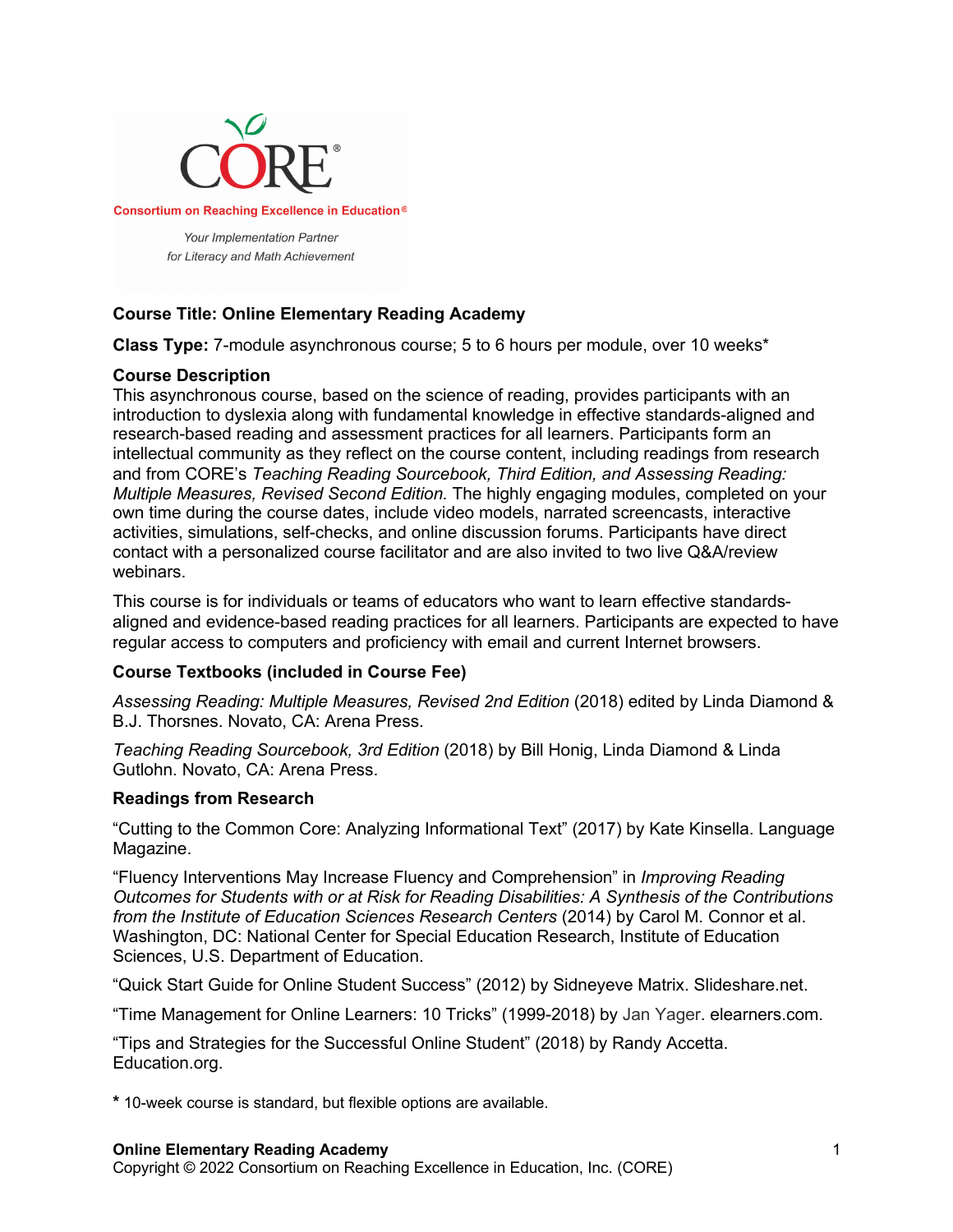

# **Course Title: Online Elementary Reading Academy**

**Class Type:** 7-module asynchronous course; 5 to 6 hours per module, over 10 weeks\*

## **Course Description**

This asynchronous course, based on the science of reading, provides participants with an introduction to dyslexia along with fundamental knowledge in effective standards-aligned and research-based reading and assessment practices for all learners. Participants form an intellectual community as they reflect on the course content, including readings from research and from CORE's *Teaching Reading Sourcebook, Third Edition, and Assessing Reading: Multiple Measures, Revised Second Edition.* The highly engaging modules, completed on your own time during the course dates, include video models, narrated screencasts, interactive activities, simulations, self-checks, and online discussion forums. Participants have direct contact with a personalized course facilitator and are also invited to two live Q&A/review webinars.

This course is for individuals or teams of educators who want to learn effective standardsaligned and evidence-based reading practices for all learners. Participants are expected to have regular access to computers and proficiency with email and current Internet browsers.

## **Course Textbooks (included in Course Fee)**

*Assessing Reading: Multiple Measures, Revised 2nd Edition* (2018) edited by Linda Diamond & B.J. Thorsnes. Novato, CA: Arena Press.

*Teaching Reading Sourcebook, 3rd Edition* (2018) by Bill Honig, Linda Diamond & Linda Gutlohn. Novato, CA: Arena Press.

#### **Readings from Research**

"Cutting to the Common Core: Analyzing Informational Text" (2017) by Kate Kinsella. Language Magazine.

"Fluency Interventions May Increase Fluency and Comprehension" in *Improving Reading Outcomes for Students with or at Risk for Reading Disabilities: A Synthesis of the Contributions from the Institute of Education Sciences Research Centers* (2014) by Carol M. Connor et al. Washington, DC: National Center for Special Education Research, Institute of Education Sciences, U.S. Department of Education.

"Quick Start Guide for Online Student Success" (2012) by Sidneyeve Matrix. Slideshare.net.

"Time Management for Online Learners: 10 Tricks" (1999-2018) by Jan Yager. elearners.com.

"Tips and Strategies for the Successful Online Student" (2018) by Randy Accetta. Education.org.

**\*** 10-week course is standard, but flexible options are available.

#### **Online Elementary Reading Academy**

Copyright © 2022 Consortium on Reaching Excellence in Education, Inc. (CORE)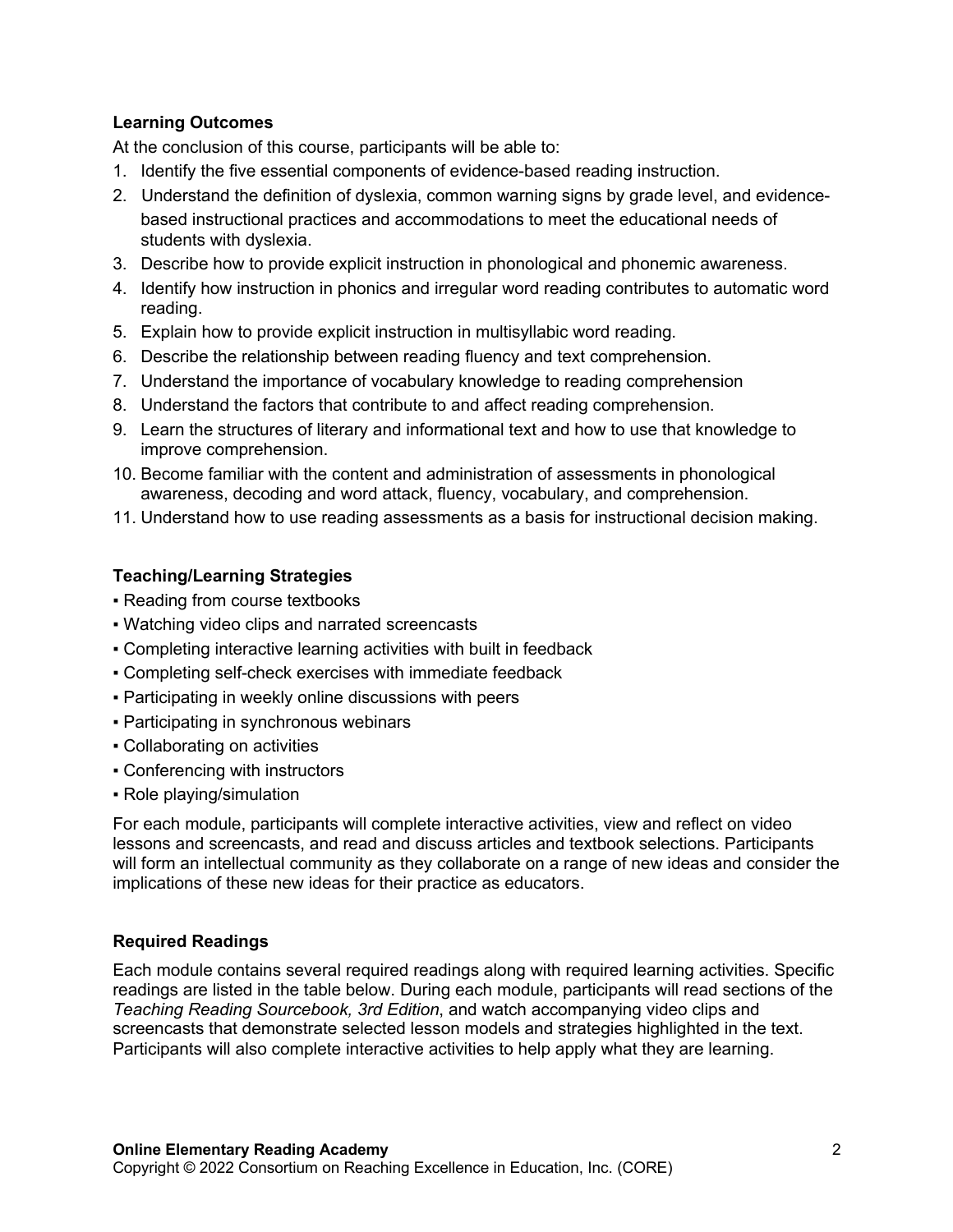## **Learning Outcomes**

At the conclusion of this course, participants will be able to:

- 1. Identify the five essential components of evidence-based reading instruction.
- 2. Understand the definition of dyslexia, common warning signs by grade level, and evidencebased instructional practices and accommodations to meet the educational needs of students with dyslexia.
- 3. Describe how to provide explicit instruction in phonological and phonemic awareness.
- 4. Identify how instruction in phonics and irregular word reading contributes to automatic word reading.
- 5. Explain how to provide explicit instruction in multisyllabic word reading.
- 6. Describe the relationship between reading fluency and text comprehension.
- 7. Understand the importance of vocabulary knowledge to reading comprehension
- 8. Understand the factors that contribute to and affect reading comprehension.
- 9. Learn the structures of literary and informational text and how to use that knowledge to improve comprehension.
- 10. Become familiar with the content and administration of assessments in phonological awareness, decoding and word attack, fluency, vocabulary, and comprehension.
- 11. Understand how to use reading assessments as a basis for instructional decision making.

## **Teaching/Learning Strategies**

- Reading from course textbooks
- Watching video clips and narrated screencasts
- Completing interactive learning activities with built in feedback
- Completing self-check exercises with immediate feedback
- Participating in weekly online discussions with peers
- Participating in synchronous webinars
- Collaborating on activities
- Conferencing with instructors
- Role playing/simulation

For each module, participants will complete interactive activities, view and reflect on video lessons and screencasts, and read and discuss articles and textbook selections. Participants will form an intellectual community as they collaborate on a range of new ideas and consider the implications of these new ideas for their practice as educators.

## **Required Readings**

Each module contains several required readings along with required learning activities. Specific readings are listed in the table below. During each module, participants will read sections of the *Teaching Reading Sourcebook, 3rd Edition*, and watch accompanying video clips and screencasts that demonstrate selected lesson models and strategies highlighted in the text. Participants will also complete interactive activities to help apply what they are learning.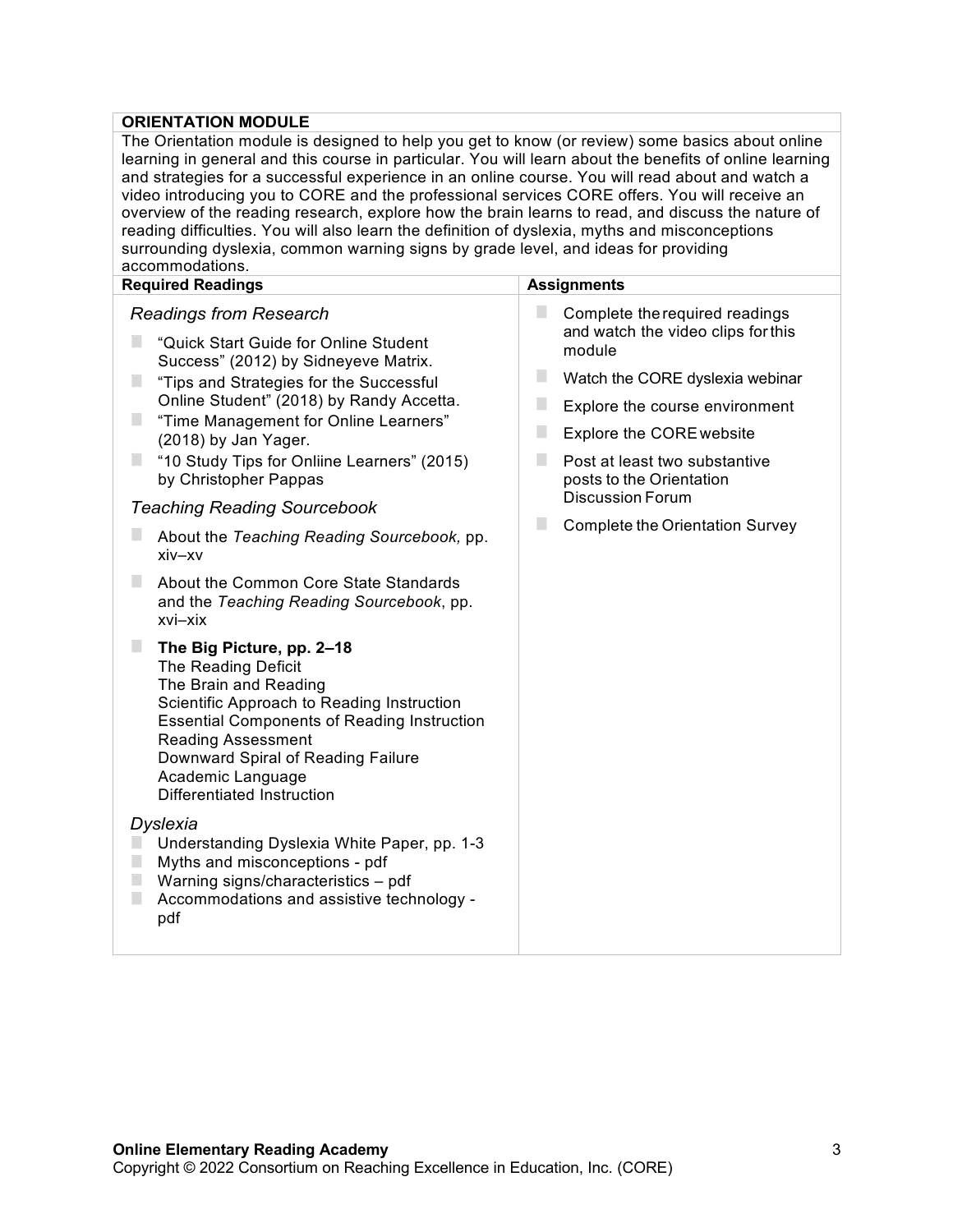## **ORIENTATION MODULE**

| The Orientation module is designed to help you get to know (or review) some basics about online<br>learning in general and this course in particular. You will learn about the benefits of online learning<br>and strategies for a successful experience in an online course. You will read about and watch a<br>video introducing you to CORE and the professional services CORE offers. You will receive an<br>overview of the reading research, explore how the brain learns to read, and discuss the nature of<br>reading difficulties. You will also learn the definition of dyslexia, myths and misconceptions<br>surrounding dyslexia, common warning signs by grade level, and ideas for providing<br>accommodations. |                                                                                |  |  |  |
|-------------------------------------------------------------------------------------------------------------------------------------------------------------------------------------------------------------------------------------------------------------------------------------------------------------------------------------------------------------------------------------------------------------------------------------------------------------------------------------------------------------------------------------------------------------------------------------------------------------------------------------------------------------------------------------------------------------------------------|--------------------------------------------------------------------------------|--|--|--|
| <b>Required Readings</b>                                                                                                                                                                                                                                                                                                                                                                                                                                                                                                                                                                                                                                                                                                      | <b>Assignments</b>                                                             |  |  |  |
| <b>Readings from Research</b><br>"Quick Start Guide for Online Student                                                                                                                                                                                                                                                                                                                                                                                                                                                                                                                                                                                                                                                        | Complete the required readings<br>and watch the video clips for this<br>module |  |  |  |
| Success" (2012) by Sidneyeve Matrix.<br>п<br>"Tips and Strategies for the Successful                                                                                                                                                                                                                                                                                                                                                                                                                                                                                                                                                                                                                                          | ш<br>Watch the CORE dyslexia webinar                                           |  |  |  |
| Online Student" (2018) by Randy Accetta.                                                                                                                                                                                                                                                                                                                                                                                                                                                                                                                                                                                                                                                                                      | ш<br>Explore the course environment                                            |  |  |  |
| п<br>"Time Management for Online Learners"<br>(2018) by Jan Yager.                                                                                                                                                                                                                                                                                                                                                                                                                                                                                                                                                                                                                                                            | ш<br><b>Explore the CORE website</b>                                           |  |  |  |
| "10 Study Tips for Onliine Learners" (2015)<br>п<br>by Christopher Pappas                                                                                                                                                                                                                                                                                                                                                                                                                                                                                                                                                                                                                                                     | ш<br>Post at least two substantive<br>posts to the Orientation                 |  |  |  |
| <b>Teaching Reading Sourcebook</b>                                                                                                                                                                                                                                                                                                                                                                                                                                                                                                                                                                                                                                                                                            | <b>Discussion Forum</b>                                                        |  |  |  |
| About the Teaching Reading Sourcebook, pp.<br>xiv-xv                                                                                                                                                                                                                                                                                                                                                                                                                                                                                                                                                                                                                                                                          | ш<br><b>Complete the Orientation Survey</b>                                    |  |  |  |
| ш<br>About the Common Core State Standards<br>and the Teaching Reading Sourcebook, pp.<br>xvi-xix                                                                                                                                                                                                                                                                                                                                                                                                                                                                                                                                                                                                                             |                                                                                |  |  |  |
| п<br>The Big Picture, pp. 2-18<br>The Reading Deficit<br>The Brain and Reading<br>Scientific Approach to Reading Instruction<br><b>Essential Components of Reading Instruction</b><br><b>Reading Assessment</b><br>Downward Spiral of Reading Failure<br>Academic Language<br>Differentiated Instruction                                                                                                                                                                                                                                                                                                                                                                                                                      |                                                                                |  |  |  |
| Dyslexia<br>Understanding Dyslexia White Paper, pp. 1-3<br>Myths and misconceptions - pdf<br>Warning signs/characteristics - pdf<br>Accommodations and assistive technology -<br>pdf                                                                                                                                                                                                                                                                                                                                                                                                                                                                                                                                          |                                                                                |  |  |  |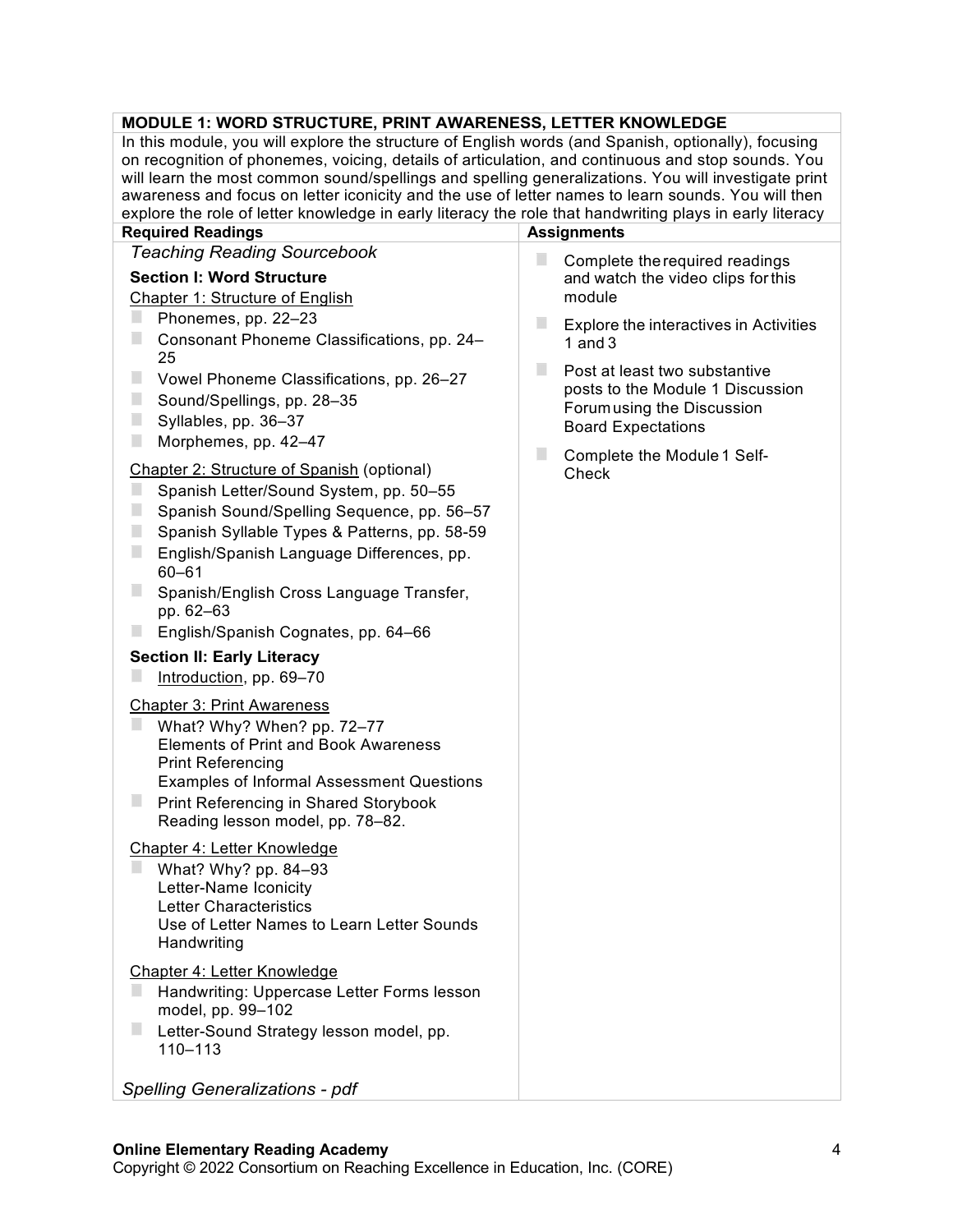## **MODULE 1: WORD STRUCTURE, PRINT AWARENESS, LETTER KNOWLEDGE**

In this module, you will explore the structure of English words (and Spanish, optionally), focusing on recognition of phonemes, voicing, details of articulation, and continuous and stop sounds. You will learn the most common sound/spellings and spelling generalizations. You will investigate print awareness and focus on letter iconicity and the use of letter names to learn sounds. You will then explore the role of letter knowledge in early literacy the role that handwriting plays in early literacy

| <b>Required Readings</b>                                                                                                                                                                                                                                                                                     | <b>Assignments</b>                                                                                                           |  |
|--------------------------------------------------------------------------------------------------------------------------------------------------------------------------------------------------------------------------------------------------------------------------------------------------------------|------------------------------------------------------------------------------------------------------------------------------|--|
| <b>Teaching Reading Sourcebook</b>                                                                                                                                                                                                                                                                           | H.<br>Complete the required readings                                                                                         |  |
| <b>Section I: Word Structure</b>                                                                                                                                                                                                                                                                             | and watch the video clips for this                                                                                           |  |
| Chapter 1: Structure of English                                                                                                                                                                                                                                                                              | module                                                                                                                       |  |
| Phonemes, pp. 22-23<br>Consonant Phoneme Classifications, pp. 24-                                                                                                                                                                                                                                            | Explore the interactives in Activities<br>1 and $3$                                                                          |  |
| 25<br>Vowel Phoneme Classifications, pp. 26-27<br>Sound/Spellings, pp. 28-35<br>Syllables, pp. 36-37<br>Morphemes, pp. 42-47<br>ш                                                                                                                                                                            | Post at least two substantive<br>posts to the Module 1 Discussion<br>Forum using the Discussion<br><b>Board Expectations</b> |  |
| Chapter 2: Structure of Spanish (optional)<br>ш<br>Spanish Letter/Sound System, pp. 50-55<br>ш<br>Spanish Sound/Spelling Sequence, pp. 56-57<br>Spanish Syllable Types & Patterns, pp. 58-59<br>English/Spanish Language Differences, pp.<br>$60 - 61$                                                       | Complete the Module 1 Self-<br>Check                                                                                         |  |
| Spanish/English Cross Language Transfer,<br>pp. 62-63                                                                                                                                                                                                                                                        |                                                                                                                              |  |
| English/Spanish Cognates, pp. 64-66                                                                                                                                                                                                                                                                          |                                                                                                                              |  |
| <b>Section II: Early Literacy</b><br>Introduction, pp. 69-70                                                                                                                                                                                                                                                 |                                                                                                                              |  |
| <b>Chapter 3: Print Awareness</b><br>ш<br>What? Why? When? pp. 72-77<br><b>Elements of Print and Book Awareness</b><br><b>Print Referencing</b><br><b>Examples of Informal Assessment Questions</b><br>$\overline{\phantom{a}}$<br>Print Referencing in Shared Storybook<br>Reading lesson model, pp. 78-82. |                                                                                                                              |  |
| Chapter 4: Letter Knowledge<br>What? Why? pp. 84-93<br>Letter-Name Iconicity<br><b>Letter Characteristics</b><br>Use of Letter Names to Learn Letter Sounds<br>Handwriting                                                                                                                                   |                                                                                                                              |  |
| Chapter 4: Letter Knowledge<br>Handwriting: Uppercase Letter Forms lesson<br>model, pp. 99-102                                                                                                                                                                                                               |                                                                                                                              |  |
| Letter-Sound Strategy lesson model, pp.<br>$110 - 113$                                                                                                                                                                                                                                                       |                                                                                                                              |  |
|                                                                                                                                                                                                                                                                                                              |                                                                                                                              |  |

*Spelling Generalizations - pdf*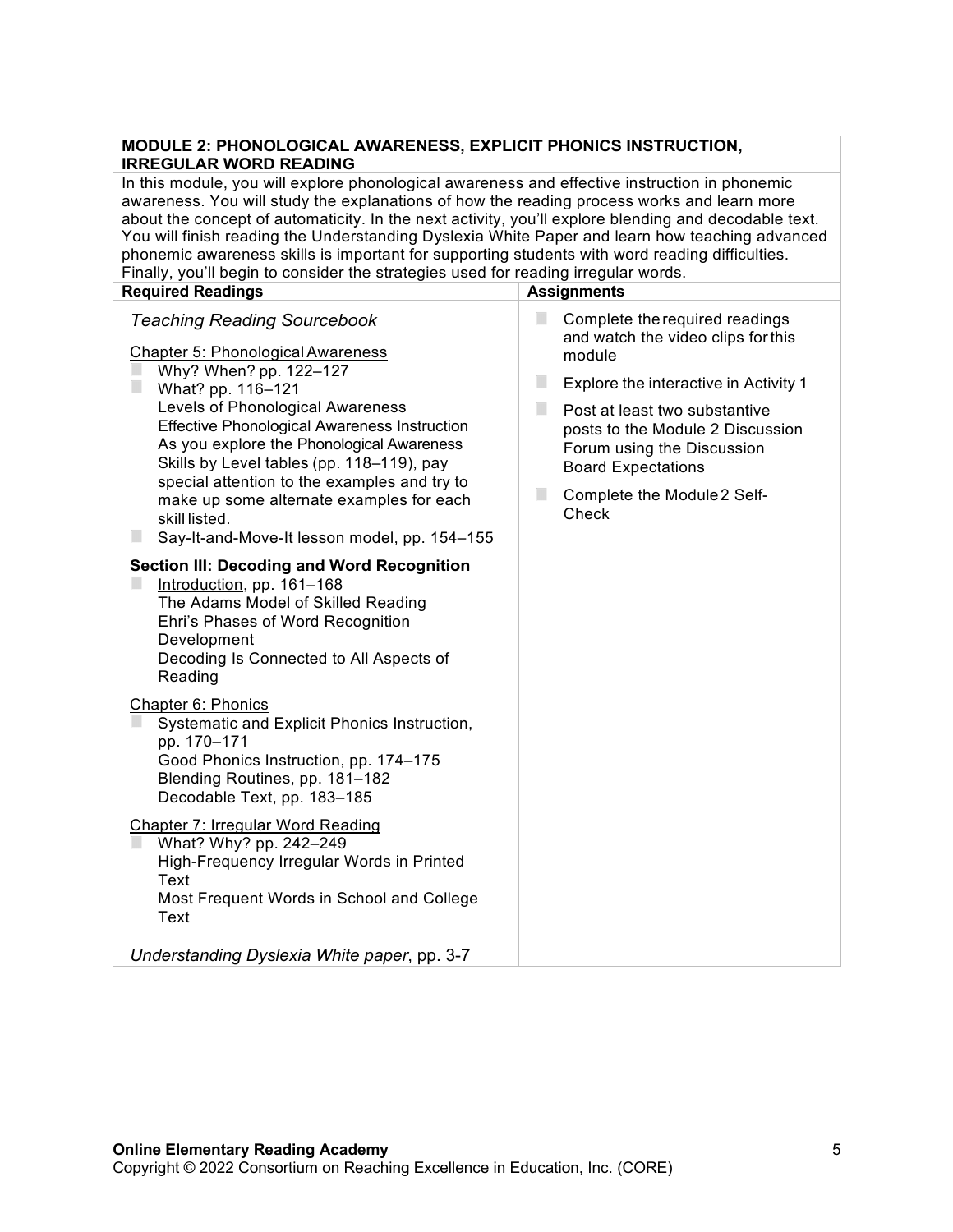#### **MODULE 2: PHONOLOGICAL AWARENESS, EXPLICIT PHONICS INSTRUCTION, IRREGULAR WORD READING**

In this module, you will explore phonological awareness and effective instruction in phonemic awareness. You will study the explanations of how the reading process works and learn more about the concept of automaticity. In the next activity, you'll explore blending and decodable text. You will finish reading the Understanding Dyslexia White Paper and learn how teaching advanced phonemic awareness skills is important for supporting students with word reading difficulties. Finally, you'll begin to consider the strategies used for reading irregular words.

| <b>Required Readings</b>                                                                                                                                                                                                                                                                                                                                                                                                                                                             | <b>Assignments</b>                                                                                                                                                                                                                                                                                                   |
|--------------------------------------------------------------------------------------------------------------------------------------------------------------------------------------------------------------------------------------------------------------------------------------------------------------------------------------------------------------------------------------------------------------------------------------------------------------------------------------|----------------------------------------------------------------------------------------------------------------------------------------------------------------------------------------------------------------------------------------------------------------------------------------------------------------------|
| <b>Teaching Reading Sourcebook</b><br><b>Chapter 5: Phonological Awareness</b><br>Why? When? pp. 122-127<br>What? pp. 116-121<br>Levels of Phonological Awareness<br><b>Effective Phonological Awareness Instruction</b><br>As you explore the Phonological Awareness<br>Skills by Level tables (pp. 118-119), pay<br>special attention to the examples and try to<br>make up some alternate examples for each<br>skill listed.<br>Say-It-and-Move-It lesson model, pp. 154-155<br>u | П<br>Complete the required readings<br>and watch the video clips for this<br>module<br>п<br>Explore the interactive in Activity 1<br>П<br>Post at least two substantive<br>posts to the Module 2 Discussion<br>Forum using the Discussion<br><b>Board Expectations</b><br>I.<br>Complete the Module 2 Self-<br>Check |
| <b>Section III: Decoding and Word Recognition</b><br>Introduction, pp. 161-168<br>The Adams Model of Skilled Reading<br>Ehri's Phases of Word Recognition<br>Development<br>Decoding Is Connected to All Aspects of<br>Reading                                                                                                                                                                                                                                                       |                                                                                                                                                                                                                                                                                                                      |
| Chapter 6: Phonics<br>Systematic and Explicit Phonics Instruction,<br>pp. 170-171<br>Good Phonics Instruction, pp. 174-175<br>Blending Routines, pp. 181-182<br>Decodable Text, pp. 183-185                                                                                                                                                                                                                                                                                          |                                                                                                                                                                                                                                                                                                                      |
| Chapter 7: Irregular Word Reading<br>What? Why? pp. 242-249<br>High-Frequency Irregular Words in Printed<br>Text<br>Most Frequent Words in School and College<br>Text                                                                                                                                                                                                                                                                                                                |                                                                                                                                                                                                                                                                                                                      |
| Understanding Dyslexia White paper, pp. 3-7                                                                                                                                                                                                                                                                                                                                                                                                                                          |                                                                                                                                                                                                                                                                                                                      |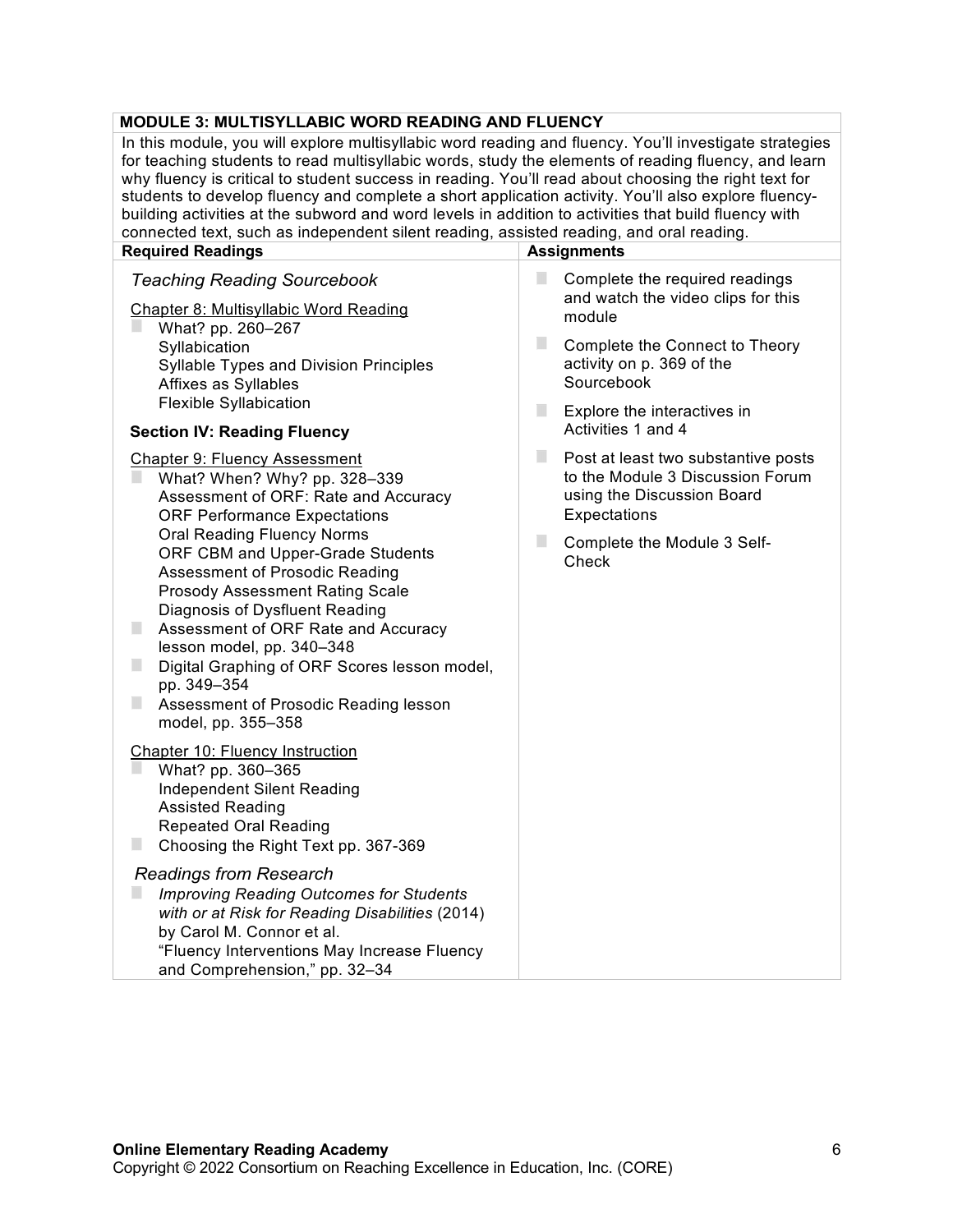# **MODULE 3: MULTISYLLABIC WORD READING AND FLUENCY**

In this module, you will explore multisyllabic word reading and fluency. You'll investigate strategies for teaching students to read multisyllabic words, study the elements of reading fluency, and learn why fluency is critical to student success in reading. You'll read about choosing the right text for students to develop fluency and complete a short application activity. You'll also explore fluencybuilding activities at the subword and word levels in addition to activities that build fluency with connected text, such as independent silent reading, assisted reading, and oral reading.

| connected text, such as independent silent reading, assisted reading, and oral reading.                                                                                                                                                                                                                                                                                                                          |                                                                                                                            |  |  |  |
|------------------------------------------------------------------------------------------------------------------------------------------------------------------------------------------------------------------------------------------------------------------------------------------------------------------------------------------------------------------------------------------------------------------|----------------------------------------------------------------------------------------------------------------------------|--|--|--|
| <b>Required Readings</b>                                                                                                                                                                                                                                                                                                                                                                                         | <b>Assignments</b>                                                                                                         |  |  |  |
| <b>Teaching Reading Sourcebook</b><br><b>Chapter 8: Multisyllabic Word Reading</b><br>What? pp. 260-267<br>Syllabication<br>Syllable Types and Division Principles<br>Affixes as Syllables                                                                                                                                                                                                                       | F.<br>Complete the required readings<br>and watch the video clips for this<br>module                                       |  |  |  |
|                                                                                                                                                                                                                                                                                                                                                                                                                  | $\Box$<br>Complete the Connect to Theory<br>activity on p. 369 of the<br>Sourcebook                                        |  |  |  |
| <b>Flexible Syllabication</b><br><b>Section IV: Reading Fluency</b>                                                                                                                                                                                                                                                                                                                                              | ш<br>Explore the interactives in<br>Activities 1 and 4                                                                     |  |  |  |
| <b>Chapter 9: Fluency Assessment</b><br>What? When? Why? pp. 328-339<br>Assessment of ORF: Rate and Accuracy<br><b>ORF Performance Expectations</b>                                                                                                                                                                                                                                                              | ٠<br>Post at least two substantive posts<br>to the Module 3 Discussion Forum<br>using the Discussion Board<br>Expectations |  |  |  |
| <b>Oral Reading Fluency Norms</b><br>ORF CBM and Upper-Grade Students<br><b>Assessment of Prosodic Reading</b><br><b>Prosody Assessment Rating Scale</b><br>Diagnosis of Dysfluent Reading<br>п<br>Assessment of ORF Rate and Accuracy<br>lesson model, pp. 340-348<br>ш<br>Digital Graphing of ORF Scores lesson model,<br>pp. 349-354<br>$\Box$<br>Assessment of Prosodic Reading lesson<br>model, pp. 355-358 | ш<br>Complete the Module 3 Self-<br>Check                                                                                  |  |  |  |
| <b>Chapter 10: Fluency Instruction</b><br>What? pp. 360-365<br>Independent Silent Reading<br><b>Assisted Reading</b><br><b>Repeated Oral Reading</b><br>H.<br>Choosing the Right Text pp. 367-369                                                                                                                                                                                                                |                                                                                                                            |  |  |  |
| <b>Readings from Research</b><br><b>Improving Reading Outcomes for Students</b><br>with or at Risk for Reading Disabilities (2014)<br>by Carol M. Connor et al.<br>"Fluency Interventions May Increase Fluency<br>and Comprehension," pp. 32-34                                                                                                                                                                  |                                                                                                                            |  |  |  |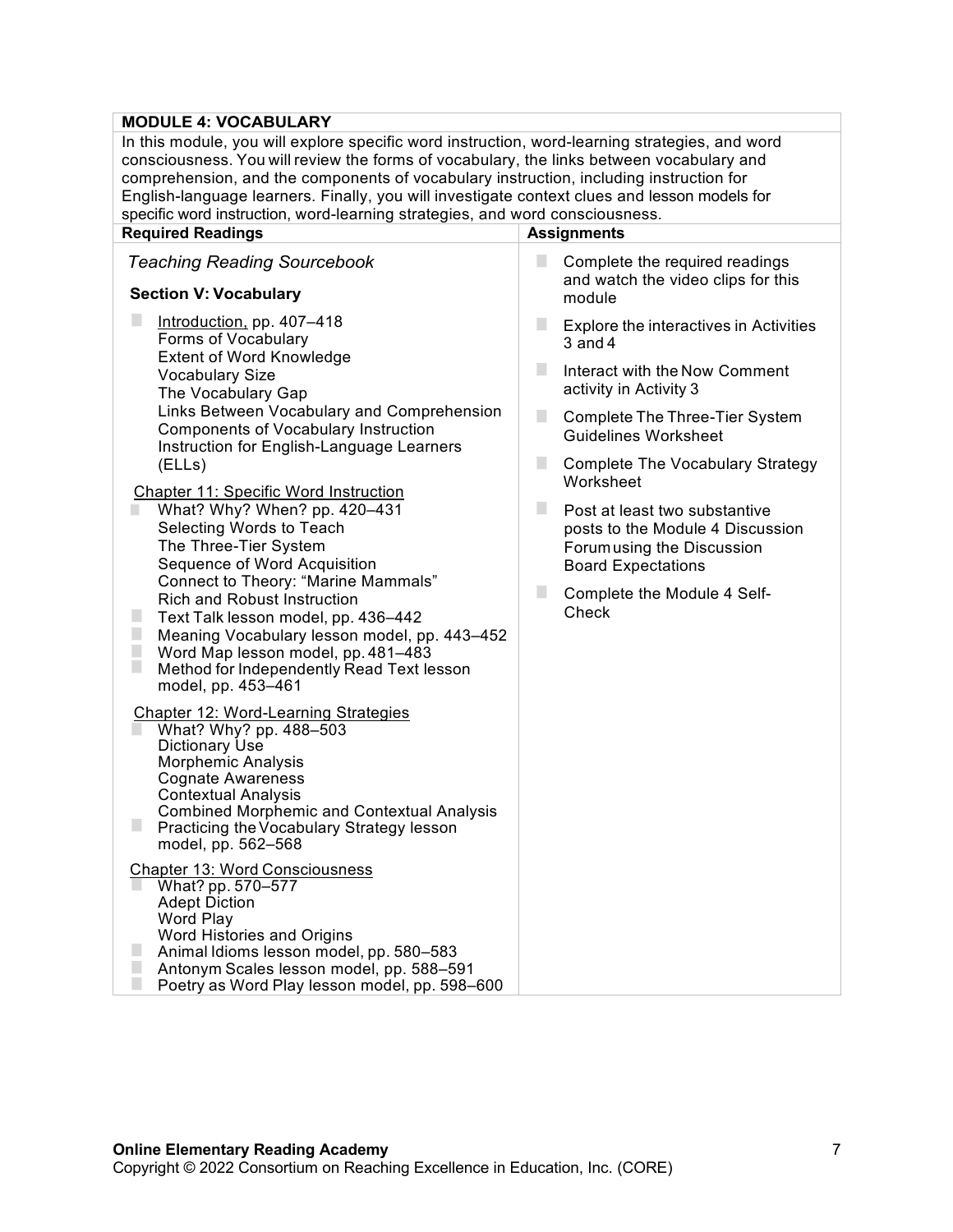# **MODULE 4: VOCABULARY**

| In this module, you will explore specific word instruction, word-learning strategies, and word<br>consciousness. You will review the forms of vocabulary, the links between vocabulary and<br>comprehension, and the components of vocabulary instruction, including instruction for<br>English-language learners. Finally, you will investigate context clues and lesson models for<br>specific word instruction, word-learning strategies, and word consciousness. |                                                                                                                                                                       |  |  |
|----------------------------------------------------------------------------------------------------------------------------------------------------------------------------------------------------------------------------------------------------------------------------------------------------------------------------------------------------------------------------------------------------------------------------------------------------------------------|-----------------------------------------------------------------------------------------------------------------------------------------------------------------------|--|--|
| <b>Required Readings</b>                                                                                                                                                                                                                                                                                                                                                                                                                                             | <b>Assignments</b>                                                                                                                                                    |  |  |
| <b>Teaching Reading Sourcebook</b>                                                                                                                                                                                                                                                                                                                                                                                                                                   | п<br>Complete the required readings<br>and watch the video clips for this                                                                                             |  |  |
| <b>Section V: Vocabulary</b>                                                                                                                                                                                                                                                                                                                                                                                                                                         | module                                                                                                                                                                |  |  |
| Introduction, pp. 407-418<br>Forms of Vocabulary<br>Extent of Word Knowledge                                                                                                                                                                                                                                                                                                                                                                                         | ٠<br>Explore the interactives in Activities<br>$3$ and $4$                                                                                                            |  |  |
| <b>Vocabulary Size</b><br>The Vocabulary Gap                                                                                                                                                                                                                                                                                                                                                                                                                         | п<br>Interact with the Now Comment<br>activity in Activity 3                                                                                                          |  |  |
| Links Between Vocabulary and Comprehension<br><b>Components of Vocabulary Instruction</b><br>Instruction for English-Language Learners                                                                                                                                                                                                                                                                                                                               | п<br>Complete The Three-Tier System<br><b>Guidelines Worksheet</b>                                                                                                    |  |  |
| (ELLs)<br>Chapter 11: Specific Word Instruction                                                                                                                                                                                                                                                                                                                                                                                                                      | П<br><b>Complete The Vocabulary Strategy</b><br>Worksheet                                                                                                             |  |  |
| What? Why? When? pp. 420-431<br>Selecting Words to Teach<br>The Three-Tier System<br>Sequence of Word Acquisition<br>Connect to Theory: "Marine Mammals"<br><b>Rich and Robust Instruction</b><br>Text Talk lesson model, pp. 436-442<br>$\Box$<br>Meaning Vocabulary lesson model, pp. 443-452<br>$\Box$<br>Word Map lesson model, pp. 481-483<br>E<br>Method for Independently Read Text lesson<br>model, pp. 453-461                                              | п<br>Post at least two substantive<br>posts to the Module 4 Discussion<br>Forum using the Discussion<br><b>Board Expectations</b><br>ш<br>Complete the Module 4 Self- |  |  |
|                                                                                                                                                                                                                                                                                                                                                                                                                                                                      | Check                                                                                                                                                                 |  |  |
| Chapter 12: Word-Learning Strategies<br>What? Why? pp. 488-503<br>Dictionary Use<br><b>Morphemic Analysis</b><br><b>Cognate Awareness</b><br><b>Contextual Analysis</b><br><b>Combined Morphemic and Contextual Analysis</b>                                                                                                                                                                                                                                         |                                                                                                                                                                       |  |  |
| Practicing the Vocabulary Strategy lesson<br>model, pp. 562-568                                                                                                                                                                                                                                                                                                                                                                                                      |                                                                                                                                                                       |  |  |
| <b>Chapter 13: Word Consciousness</b><br>What? pp. 570-577<br><b>Adept Diction</b><br><b>Word Play</b><br>Word Histories and Origins<br>Animal Idioms lesson model, pp. 580-583<br>Antonym Scales lesson model, pp. 588-591<br>Poetry as Word Play lesson model, pp. 598-600                                                                                                                                                                                         |                                                                                                                                                                       |  |  |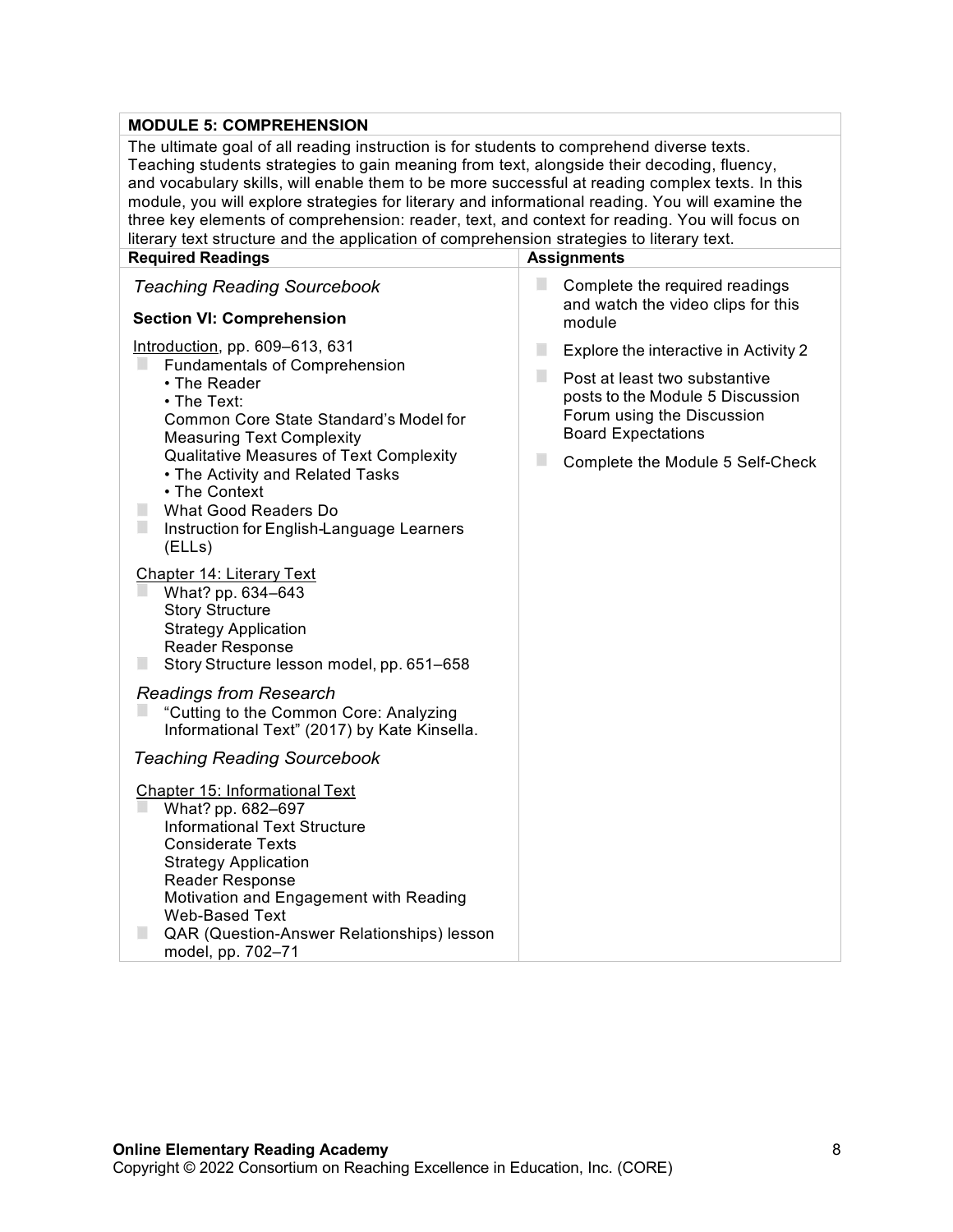#### **MODULE 5: COMPREHENSION**

The ultimate goal of all reading instruction is for students to comprehend diverse texts. Teaching students strategies to gain meaning from text, alongside their decoding, fluency, and vocabulary skills, will enable them to be more successful at reading complex texts. In this module, you will explore strategies for literary and informational reading. You will examine the three key elements of comprehension: reader, text, and context for reading. You will focus on literary text structure and the application of comprehension strategies to literary text.

| <b>Required Readings</b>                                                                                                                                                                                                                                                                                                                                                                                                                                                                                                                                                                                                                                                                                                                                                             | <b>Assignments</b>                                                                                                                                                                                                       |
|--------------------------------------------------------------------------------------------------------------------------------------------------------------------------------------------------------------------------------------------------------------------------------------------------------------------------------------------------------------------------------------------------------------------------------------------------------------------------------------------------------------------------------------------------------------------------------------------------------------------------------------------------------------------------------------------------------------------------------------------------------------------------------------|--------------------------------------------------------------------------------------------------------------------------------------------------------------------------------------------------------------------------|
| <b>Teaching Reading Sourcebook</b><br><b>Section VI: Comprehension</b>                                                                                                                                                                                                                                                                                                                                                                                                                                                                                                                                                                                                                                                                                                               | ш<br>Complete the required readings<br>and watch the video clips for this<br>module                                                                                                                                      |
| Introduction, pp. 609-613, 631<br><b>Fundamentals of Comprehension</b><br>• The Reader<br>• The Text:<br>Common Core State Standard's Model for<br><b>Measuring Text Complexity</b><br>Qualitative Measures of Text Complexity<br>• The Activity and Related Tasks<br>• The Context<br>What Good Readers Do<br>ш<br>$\Box$<br>Instruction for English-Language Learners<br>(ELLs)<br>Chapter 14: Literary Text<br>What? pp. 634-643<br><b>Story Structure</b><br><b>Strategy Application</b><br>Reader Response<br>Story Structure lesson model, pp. 651-658<br><b>Readings from Research</b><br>"Cutting to the Common Core: Analyzing<br>Informational Text" (2017) by Kate Kinsella.<br><b>Teaching Reading Sourcebook</b><br>Chapter 15: Informational Text<br>What? pp. 682-697 | п<br>Explore the interactive in Activity 2<br>ш<br>Post at least two substantive<br>posts to the Module 5 Discussion<br>Forum using the Discussion<br><b>Board Expectations</b><br>ш<br>Complete the Module 5 Self-Check |
| <b>Informational Text Structure</b><br><b>Considerate Texts</b><br><b>Strategy Application</b><br><b>Reader Response</b><br>Motivation and Engagement with Reading<br><b>Web-Based Text</b><br>QAR (Question-Answer Relationships) lesson                                                                                                                                                                                                                                                                                                                                                                                                                                                                                                                                            |                                                                                                                                                                                                                          |
| model, pp. 702-71                                                                                                                                                                                                                                                                                                                                                                                                                                                                                                                                                                                                                                                                                                                                                                    |                                                                                                                                                                                                                          |